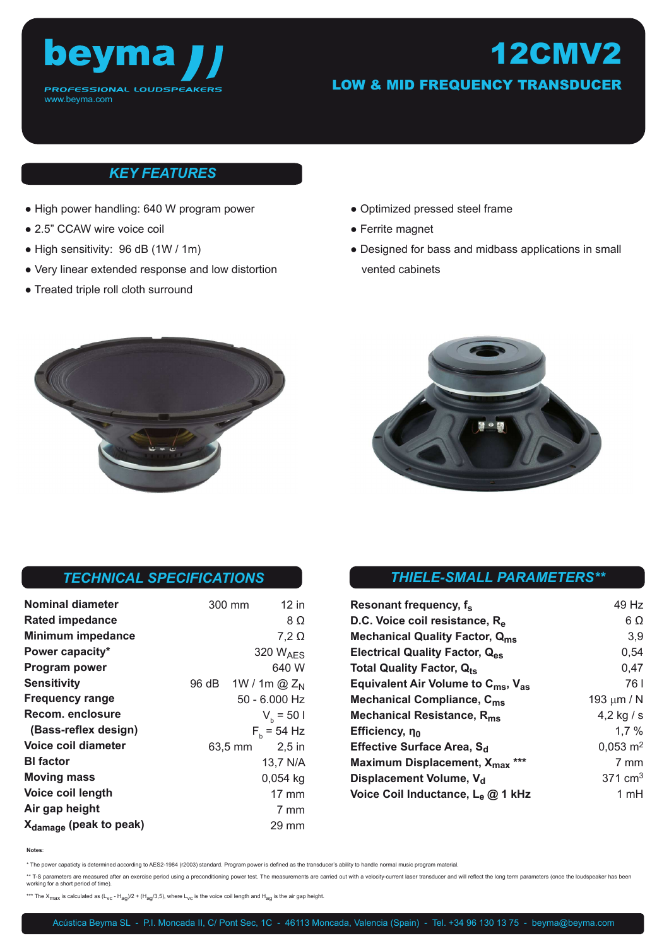

## 12CMV2 LOW & MID FREQUENCY TRANSDUCER

### *KEY FEATURES*

- High power handling: 640 W program power
- 2.5" CCAW wire voice coil
- High sensitivity: 96 dB (1W / 1m)
- Very linear extended response and low distortion
- Treated triple roll cloth surround
- Optimized pressed steel frame
- Ferrite magnet
- Designed for bass and midbass applications in small vented cabinets





### *TECHNICAL SPECIFICATIONS*

| Nominal diameter                   | 300 mm               | $12$ in         |
|------------------------------------|----------------------|-----------------|
| <b>Rated impedance</b>             |                      | 8 Ω             |
| <b>Minimum impedance</b>           |                      | $7,2 \Omega$    |
| Power capacity*                    | 320 W <sub>AFS</sub> |                 |
| <b>Program power</b>               |                      | 640 W           |
| <b>Sensitivity</b>                 | 96 dB                | 1W / 1m $@Z_N$  |
| <b>Frequency range</b>             |                      | 50 - 6.000 Hz   |
| Recom. enclosure                   |                      | $V_h = 501$     |
| (Bass-reflex design)               |                      | $F_{h}$ = 54 Hz |
| Voice coil diameter                | 63,5 mm              | $2,5$ in        |
| <b>BI</b> factor                   |                      | 13,7 N/A        |
| <b>Moving mass</b>                 |                      | $0,054$ kg      |
| Voice coil length                  |                      | $17 \text{ mm}$ |
| Air gap height                     |                      | 7 mm            |
| X <sub>damage</sub> (peak to peak) |                      | 29 mm           |

## *THIELE-SMALL PARAMETERS\*\**

| Resonant frequency, f <sub>s</sub>                         | 49 Hz               |
|------------------------------------------------------------|---------------------|
| D.C. Voice coil resistance, R <sub>e</sub>                 | $6\Omega$           |
| <b>Mechanical Quality Factor, Qms</b>                      | 3,9                 |
| Electrical Quality Factor, Q <sub>es</sub>                 | 0,54                |
| <b>Total Quality Factor, Qts</b>                           | 0,47                |
| Equivalent Air Volume to $C_{\text{ms}}$ , $V_{\text{as}}$ | 761                 |
| Mechanical Compliance, C <sub>ms</sub>                     | 193 $\mu$ m / N     |
| Mechanical Resistance, R <sub>ms</sub>                     | 4,2 kg / s          |
| Efficiency, no                                             | 1.7%                |
| Effective Surface Area, S <sub>d</sub>                     | $0,053 \text{ m}^2$ |
| Maximum Displacement, X <sub>max</sub>                     | 7 mm                |
| Displacement Volume, V <sub>d</sub>                        | $371 \text{ cm}^3$  |
| Voice Coil Inductance, L <sub>e</sub> @ 1 kHz              | 1 mH                |

**Notes**:

\* The power capaticty is determined according to AES2-1984 (r2003) standard. Program power is defined as the transducer's ability to handle normal music program material.

\*\* T-S parameters are measured after an exercise period using a preconditioning power test. The measurements are carried out with a velocity-current laser transducer and will reflect the long term parameters (once the loud working for a short period of time).

\*\*\* The  $X_{max}$  is calculated as  $(L_{VC} - H_{aq}/2 + (H_{aq}/3,5)$ , where  $L_{VC}$  is the voice coil length and  $H_{aq}$  is the air gap height.